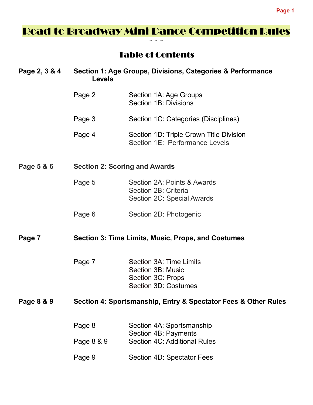# Road to Broadway Mini Dance Competition Rules  $\sim$   $\sim$   $\sim$

# Table of Contents

| Page 2, 3 & 4 | Section 1: Age Groups, Divisions, Categories & Performance<br><b>Levels</b> |                                                                                                  |
|---------------|-----------------------------------------------------------------------------|--------------------------------------------------------------------------------------------------|
|               | Page 2                                                                      | Section 1A: Age Groups<br>Section 1B: Divisions                                                  |
|               | Page 3                                                                      | Section 1C: Categories (Disciplines)                                                             |
|               | Page 4                                                                      | Section 1D: Triple Crown Title Division<br>Section 1E: Performance Levels                        |
| Page 5 & 6    | <b>Section 2: Scoring and Awards</b>                                        |                                                                                                  |
|               | Page 5                                                                      | Section 2A: Points & Awards<br>Section 2B: Criteria<br>Section 2C: Special Awards                |
|               | Page 6                                                                      | Section 2D: Photogenic                                                                           |
| Page 7        | Section 3: Time Limits, Music, Props, and Costumes                          |                                                                                                  |
|               | Page 7                                                                      | Section 3A: Time Limits<br>Section 3B: Music<br>Section 3C: Props<br><b>Section 3D: Costumes</b> |
| Page 8 & 9    | Section 4: Sportsmanship, Entry & Spectator Fees & Other Rules              |                                                                                                  |
|               | Page 8                                                                      | Section 4A: Sportsmanship                                                                        |
|               | Page 8 & 9                                                                  | Section 4B: Payments<br><b>Section 4C: Additional Rules</b>                                      |
|               | Page 9                                                                      | Section 4D: Spectator Fees                                                                       |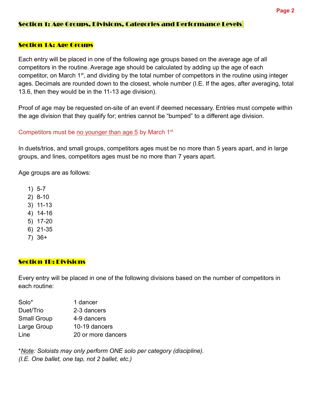### Section 1: Age Groups, Divisions, Categories and Performance Levels

### Section 1A: Age Groups

Each entry will be placed in one of the following age groups based on the average age of all competitors in the routine. Average age should be calculated by adding up the age of each competitor, on March 1<sup>st</sup>, and dividing by the total number of competitors in the routine using integer ages. Decimals are rounded down to the closest, whole number (I.E. If the ages, after averaging, total 13.6, then they would be in the 11-13 age division).

Proof of age may be requested on-site of an event if deemed necessary. Entries must compete within the age division that they qualify for; entries cannot be "bumped" to a different age division.

### Competitors must be no younger than age 5 by March  $1<sup>st.</sup>$

In duets/trios, and small groups, competitors ages must be no more than 5 years apart, and in large groups, and lines, competitors ages must be no more than 7 years apart.

Age groups are as follows:

- 1) 5-7
- 2) 8-10
- 3) 11-13
- 4) 14-16
- 5) 17-20
- 6) 21-35
- 7) 36+

### Section 1B: Divisions

Every entry will be placed in one of the following divisions based on the number of competitors in each routine:

| Solo*              | 1 dancer           |
|--------------------|--------------------|
| Duet/Trio          | 2-3 dancers        |
| <b>Small Group</b> | 4-9 dancers        |
| Large Group        | 10-19 dancers      |
| Line               | 20 or more dancers |

\*Note: Soloists may only perform ONE solo per category (discipline). (I.E. One ballet, one tap, not 2 ballet, etc.)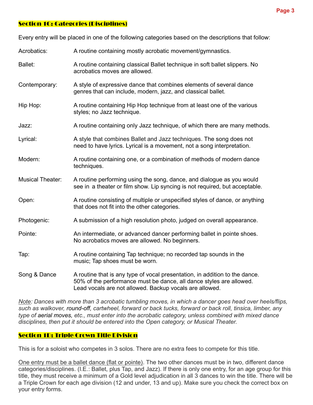### Section 1C: Categories (Disciplines)

Every entry will be placed in one of the following categories based on the descriptions that follow:

| Acrobatics:             | A routine containing mostly acrobatic movement/gymnastics.                                                                                                                                                    |  |
|-------------------------|---------------------------------------------------------------------------------------------------------------------------------------------------------------------------------------------------------------|--|
| <b>Ballet:</b>          | A routine containing classical Ballet technique in soft ballet slippers. No<br>acrobatics moves are allowed.                                                                                                  |  |
| Contemporary:           | A style of expressive dance that combines elements of several dance<br>genres that can include, modern, jazz, and classical ballet.                                                                           |  |
| Hip Hop:                | A routine containing Hip Hop technique from at least one of the various<br>styles; no Jazz technique.                                                                                                         |  |
| Jazz:                   | A routine containing only Jazz technique, of which there are many methods.                                                                                                                                    |  |
| Lyrical:                | A style that combines Ballet and Jazz techniques. The song does not<br>need to have lyrics. Lyrical is a movement, not a song interpretation.                                                                 |  |
| Modern:                 | A routine containing one, or a combination of methods of modern dance<br>techniques.                                                                                                                          |  |
| <b>Musical Theater:</b> | A routine performing using the song, dance, and dialogue as you would<br>see in a theater or film show. Lip syncing is not required, but acceptable.                                                          |  |
| Open:                   | A routine consisting of multiple or unspecified styles of dance, or anything<br>that does not fit into the other categories.                                                                                  |  |
| Photogenic:             | A submission of a high resolution photo, judged on overall appearance.                                                                                                                                        |  |
| Pointe:                 | An intermediate, or advanced dancer performing ballet in pointe shoes.<br>No acrobatics moves are allowed. No beginners.                                                                                      |  |
| Tap:                    | A routine containing Tap technique; no recorded tap sounds in the<br>music; Tap shoes must be worn.                                                                                                           |  |
| Song & Dance            | A routine that is any type of vocal presentation, in addition to the dance.<br>50% of the performance must be dance, all dance styles are allowed.<br>Lead vocals are not allowed. Backup vocals are allowed. |  |

Note: Dances with more than 3 acrobatic tumbling moves, in which a dancer goes head over heels/flips, such as walkover, round-off, cartwheel, forward or back tucks, forward or back roll, tinsica, limber, any type of aerial moves, etc., must enter into the acrobatic category, unless combined with mixed dance disciplines, then put it should be entered into the Open category, or Musical Theater.

### Section 1D: Triple Crown Title Division

This is for a soloist who competes in 3 solos. There are no extra fees to compete for this title.

One entry must be a ballet dance (flat or pointe). The two other dances must be in two, different dance categories/disciplines. (I.E.: Ballet, plus Tap, and Jazz). If there is only one entry, for an age group for this title, they must receive a minimum of a Gold level adjudication in all 3 dances to win the title. There will be a Triple Crown for each age division (12 and under, 13 and up). Make sure you check the correct box on your entry forms.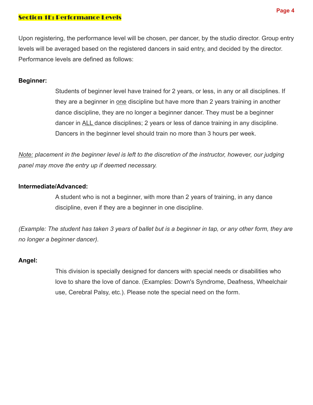### Section 1E: Performance Levels

Upon registering, the performance level will be chosen, per dancer, by the studio director. Group entry levels will be averaged based on the registered dancers in said entry, and decided by the director. Performance levels are defined as follows:

### Beginner:

Students of beginner level have trained for 2 years, or less, in any or all disciplines. If they are a beginner in one discipline but have more than 2 years training in another dance discipline, they are no longer a beginner dancer. They must be a beginner dancer in ALL dance disciplines; 2 years or less of dance training in any discipline. Dancers in the beginner level should train no more than 3 hours per week.

Note: placement in the beginner level is left to the discretion of the instructor, however, our judging panel may move the entry up if deemed necessary.

### Intermediate/Advanced:

A student who is not a beginner, with more than 2 years of training, in any dance discipline, even if they are a beginner in one discipline.

(Example: The student has taken 3 years of ballet but is a beginner in tap, or any other form, they are no longer a beginner dancer).

### Angel:

This division is specially designed for dancers with special needs or disabilities who love to share the love of dance. (Examples: Down's Syndrome, Deafness, Wheelchair use, Cerebral Palsy, etc.). Please note the special need on the form.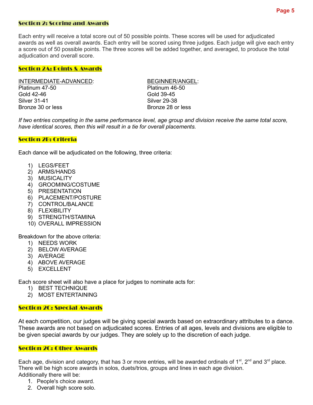#### Section 2: Scoring and Awards

Each entry will receive a total score out of 50 possible points. These scores will be used for adjudicated awards as well as overall awards. Each entry will be scored using three judges. Each judge will give each entry a score out of 50 possible points. The three scores will be added together, and averaged, to produce the total adjudication and overall score.

#### Section 2A: Points & Awards

INTERMEDIATE-ADVANCED: BEGINNER/ANGEL: Platinum 47-50 Platinum 46-50 Gold 42-46 Gold 39-45 Silver 31-41 Silver 29-38 Bronze 30 or less Bronze 28 or less

If two entries competing in the same performance level, age group and division receive the same total score, have identical scores, then this will result in a tie for overall placements.

#### Section 2B: Criteria

Each dance will be adjudicated on the following, three criteria:

- 1) LEGS/FEET
- 2) ARMS/HANDS
- 3) MUSICALITY
- 4) GROOMING/COSTUME
- 5) PRESENTATION
- 6) PLACEMENT/POSTURE
- 7) CONTROL/BALANCE
- 8) FLEXIBILITY
- 9) STRENGTH/STAMINA
- 10) OVERALL IMPRESSION

Breakdown for the above criteria:

- 1) NEEDS WORK
- 2) BELOW AVERAGE
- 3) AVERAGE
- 4) ABOVE AVERAGE
- 5) EXCELLENT

Each score sheet will also have a place for judges to nominate acts for:

- 1) BEST TECHNIQUE
- 2) MOST ENTERTAINING

#### Section 2C: Special Awards

At each competition, our judges will be giving special awards based on extraordinary attributes to a dance. These awards are not based on adjudicated scores. Entries of all ages, levels and divisions are eligible to be given special awards by our judges. They are solely up to the discretion of each judge.

#### Section 2C: Other Awards

Each age, division and category, that has 3 or more entries, will be awarded ordinals of 1<sup>st</sup>, 2<sup>nd</sup> and 3<sup>rd</sup> place. There will be high score awards in solos, duets/trios, groups and lines in each age division. Additionally there will be:

- 1. People's choice award.
- 2. Overall high score solo.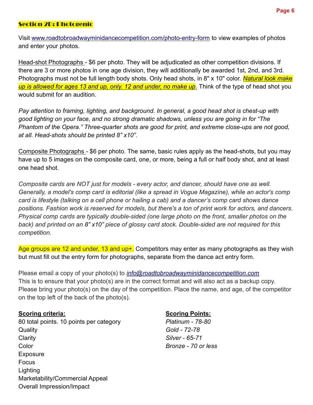# Section 2D: Photogenic

Visit www.roadtobroadwayminidancecompetition.com/photo-entry-form to view examples of photos and enter your photos.

Head-shot Photographs - \$6 per photo. They will be adjudicated as other competition divisions. If there are 3 or more photos in one age division, they will additionally be awarded 1st, 2nd, and 3rd. Photographs must not be full length body shots. Only head shots, in 8" x 10" color. Natural look make up is allowed for ages 13 and up, only. 12 and under, no make up. Think of the type of head shot you would submit for an audition.

Pay attention to framing, lighting, and background. In general, a good head shot is chest-up with good lighting on your face, and no strong dramatic shadows, unless you are going in for "The Phantom of the Opera." Three-quarter shots are good for print, and extreme close-ups are not good, at all. Head-shots should be printed 8" x10".

Composite Photographs - \$6 per photo. The same, basic rules apply as the head-shots, but you may have up to 5 images on the composite card, one, or more, being a full or half body shot, and at least one head shot.

Composite cards are NOT just for models - every actor, and dancer, should have one as well. Generally, a model's comp card is editorial (like a spread in Vogue Magazine), while an actor's comp card is lifestyle (talking on a cell phone or hailing a cab) and a dancer's comp card shows dance positions. Fashion work is reserved for models, but there's a ton of print work for actors, and dancers. Physical comp cards are typically double-sided (one large photo on the front, smaller photos on the back) and printed on an 8" x10" piece of glossy card stock. Double-sided are not required for this competition.

Age groups are 12 and under, 13 and up+. Competitors may enter as many photographs as they wish but must fill out the entry form for photographs, separate from the dance act entry form.

Please email a copy of your photo(s) to *info@roadtobroadwayminidancecompetition.com* This is to ensure that your photo(s) are in the correct format and will also act as a backup copy. Please bring your photo(s) on the day of the competition. Place the name, and age, of the competitor on the top left of the back of the photo(s).

### Scoring criteria: Scoring Points:

80 total points. 10 points per category Platinum - 78-80 Quality Gold - 72-78 Clarity **Silver - 65-71** Color Bronze - 70 or less Exposure Focus **Lighting** Marketability/Commercial Appeal Overall Impression/Impact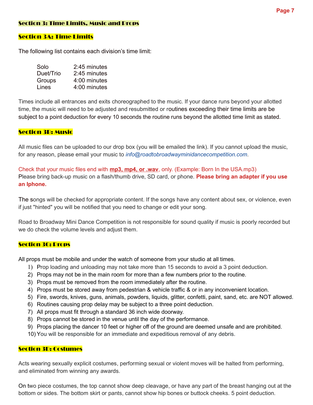### Section 3: Time Limits, Music and Props

### Section 3A: Time Limits

The following list contains each division's time limit:

| Solo      | 2:45 minutes |
|-----------|--------------|
| Duet/Trio | 2:45 minutes |
| Groups    | 4:00 minutes |
| Lines     | 4:00 minutes |

Times include all entrances and exits choreographed to the music. If your dance runs beyond your allotted time, the music will need to be adjusted and resubmitted or routines exceeding their time limits are be subject to a point deduction for every 10 seconds the routine runs beyond the allotted time limit as stated.

### **Section 3B: Music**

All music files can be uploaded to our drop box (you will be emailed the link). If you cannot upload the music, for any reason, please email your music to info@roadtobroadwayminidancecompetition.com.

Check that your music files end with **mp3, mp4, or .wav**, only. (Example: Born In the USA.mp3) Please bring back-up music on a flash/thumb drive, SD card, or phone. Please bring an adapter if you use an Iphone.

The songs will be checked for appropriate content. If the songs have any content about sex, or violence, even if just "hinted" you will be notified that you need to change or edit your song.

Road to Broadway Mini Dance Competition is not responsible for sound quality if music is poorly recorded but we do check the volume levels and adjust them.

#### Section 3C: Props

All props must be mobile and under the watch of someone from your studio at all times.

- 1) Prop loading and unloading may not take more than 15 seconds to avoid a 3 point deduction.
- 2) Props may not be in the main room for more than a few numbers prior to the routine.
- 3) Props must be removed from the room immediately after the routine.
- 4) Props must be stored away from pedestrian & vehicle traffic & or in any inconvenient location.
- 5) Fire, swords, knives, guns, animals, powders, liquids, glitter, confetti, paint, sand, etc. are NOT allowed.
- 6) Routines causing prop delay may be subject to a three point deduction.
- 7) All props must fit through a standard 36 inch wide doorway.
- 8) Props cannot be stored in the venue until the day of the performance.
- 9) Props placing the dancer 10 feet or higher off of the ground are deemed unsafe and are prohibited.
- 10) You will be responsible for an immediate and expeditious removal of any debris.

#### Section 3D: Costumes

Acts wearing sexually explicit costumes, performing sexual or violent moves will be halted from performing, and eliminated from winning any awards.

On two piece costumes, the top cannot show deep cleavage, or have any part of the breast hanging out at the bottom or sides. The bottom skirt or pants, cannot show hip bones or buttock cheeks. 5 point deduction.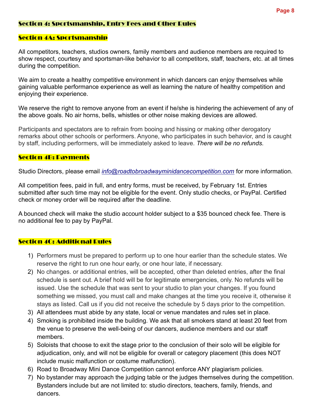### Section 4: Sportsmanship, Entry Fees and Other Rules

### Section 4A: Sportsmanship

All competitors, teachers, studios owners, family members and audience members are required to show respect, courtesy and sportsman-like behavior to all competitors, staff, teachers, etc. at all times during the competition.

We aim to create a healthy competitive environment in which dancers can enjoy themselves while gaining valuable performance experience as well as learning the nature of healthy competition and enjoying their experience.

We reserve the right to remove anyone from an event if he/she is hindering the achievement of any of the above goals. No air horns, bells, whistles or other noise making devices are allowed.

Participants and spectators are to refrain from booing and hissing or making other derogatory remarks about other schools or performers. Anyone, who participates in such behavior, and is caught by staff, including performers, will be immediately asked to leave. There will be no refunds.

### Section 4B: Payments

Studio Directors, please email *info@roadtobroadwayminidancecompetition.com* for more information.

All competition fees, paid in full, and entry forms, must be received, by February 1st. Entries submitted after such time may not be eligible for the event. Only studio checks, or PayPal. Certified check or money order will be required after the deadline.

A bounced check will make the studio account holder subject to a \$35 bounced check fee. There is no additional fee to pay by PayPal.

### Section 4C: Additional Rules

- 1) Performers must be prepared to perform up to one hour earlier than the schedule states. We reserve the right to run one hour early, or one hour late, if necessary.
- 2) No changes. or additional entries, will be accepted, other than deleted entries, after the final schedule is sent out. A brief hold will be for legitimate emergencies, only. No refunds will be issued. Use the schedule that was sent to your studio to plan your changes. If you found something we missed, you must call and make changes at the time you receive it, otherwise it stays as listed. Call us if you did not receive the schedule by 5 days prior to the competition.
- 3) All attendees must abide by any state, local or venue mandates and rules set in place.
- 4) Smoking is prohibited inside the building. We ask that all smokers stand at least 20 feet from the venue to preserve the well-being of our dancers, audience members and our staff members.
- 5) Soloists that choose to exit the stage prior to the conclusion of their solo will be eligible for adjudication, only, and will not be eligible for overall or category placement (this does NOT include music malfunction or costume malfunction).
- 6) Road to Broadway Mini Dance Competition cannot enforce ANY plagiarism policies.
- 7) No bystander may approach the judging table or the judges themselves during the competition. Bystanders include but are not limited to: studio directors, teachers, family, friends, and dancers.